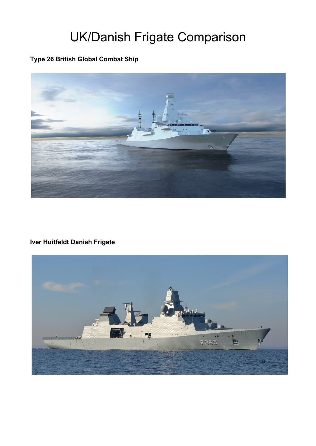## UK/Danish Frigate Comparison

## **Type 26 British Global Combat Ship**



## **Iver Huitfeldt Danish Frigate**